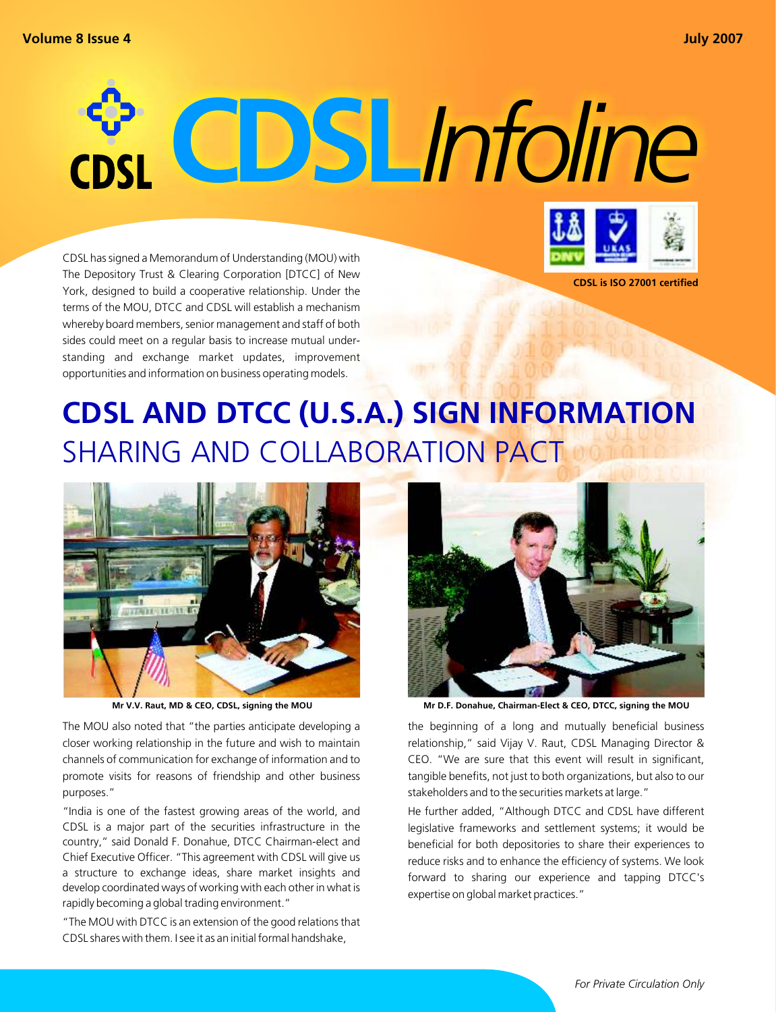# **CDSL***Infoline*

CDSL has signed a Memorandum of Understanding (MOU) with The Depository Trust & Clearing Corporation [DTCC] of New York, designed to build a cooperative relationship. Under the terms of the MOU, DTCC and CDSL will establish a mechanism whereby board members, senior management and staff of both sides could meet on a regular basis to increase mutual understanding and exchange market updates, improvement opportunities and information on business operating models.



**CDSL is ISO 27001 certified**

# **CDSL AND DTCC (U.S.A.) SIGN INFORMATION**  SHARING AND COLLABORATION PACT



The MOU also noted that "the parties anticipate developing a closer working relationship in the future and wish to maintain channels of communication for exchange of information and to promote visits for reasons of friendship and other business purposes."

"India is one of the fastest growing areas of the world, and CDSL is a major part of the securities infrastructure in the country," said Donald F. Donahue, DTCC Chairman-elect and Chief Executive Officer. "This agreement with CDSL will give us a structure to exchange ideas, share market insights and develop coordinated ways of working with each other in what is rapidly becoming a global trading environment."

"The MOU with DTCC is an extension of the good relations that CDSL shares with them. I see it as an initial formal handshake,



**Mr V.V. Raut, MD & CEO, CDSL, signing the MOU Mr D.F. Donahue, Chairman-Elect & CEO, DTCC, signing the MOU**

the beginning of a long and mutually beneficial business relationship," said Vijay V. Raut, CDSL Managing Director & CEO. "We are sure that this event will result in significant, tangible benefits, not just to both organizations, but also to our stakeholders and to the securities markets at large."

He further added, "Although DTCC and CDSL have different legislative frameworks and settlement systems; it would be beneficial for both depositories to share their experiences to reduce risks and to enhance the efficiency of systems. We look forward to sharing our experience and tapping DTCC's expertise on global market practices."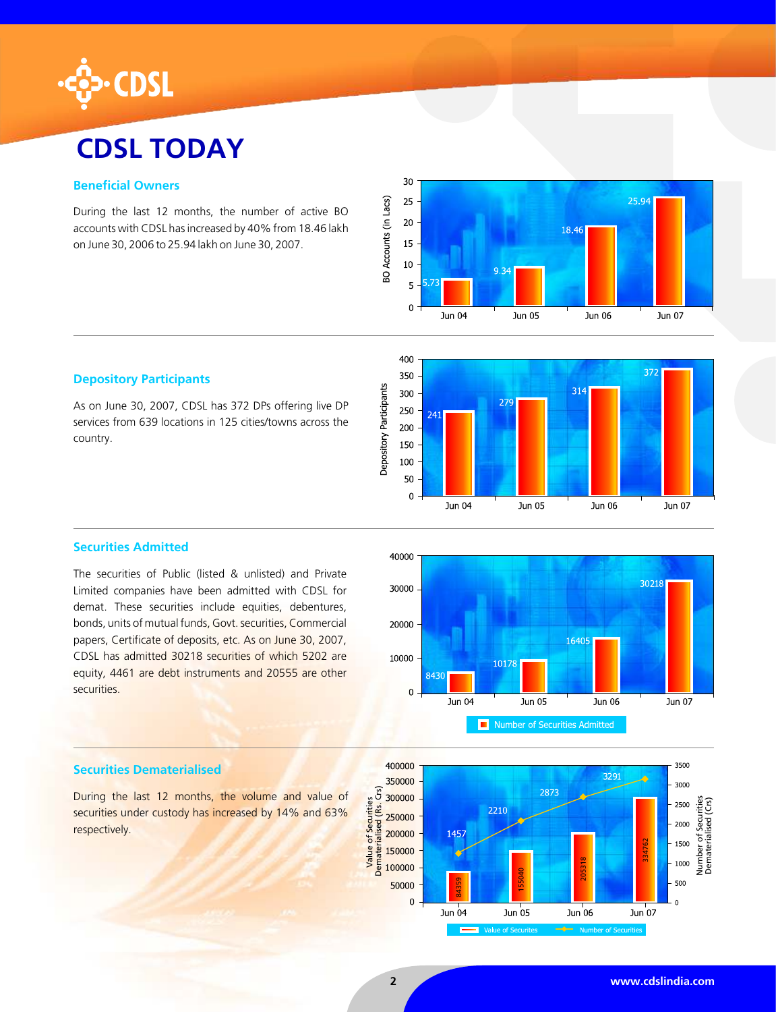

# **CDSL TODAY**

# **Beneficial Owners**

During the last 12 months, the number of active BO accounts with CDSL has increased by 40% from 18.46 lakh on June 30, 2006 to 25.94 lakh on June 30, 2007.





# **Depository Participants**

As on June 30, 2007, CDSL has 372 DPs offering live DP services from 639 locations in 125 cities/towns across the country.



The securities of Public (listed & unlisted) and Private Limited companies have been admitted with CDSL for demat. These securities include equities, debentures, bonds, units of mutual funds, Govt. securities, Commercial papers, Certificate of deposits, etc. As on June 30, 2007, CDSL has admitted 30218 securities of which 5202 are equity, 4461 are debt instruments and 20555 are other securities.



#### 400000 3500 3291 3000 Dematerialised (Rs. Crs) 2873 Number of Securities Dematerialised (Crs)2500 2210 ؠٙ 2000 1457 Dematerial 334762 ৳ 1500 Jumber 205318 1000 155040 50000 500 84359  $\mathbf 0$  $\overline{a}$ Jun $\overline{0}4$ Jun 05 Jun 06 Jun<sup>'07</sup>

## **Securities Dematerialised**

**Securities Dematerialiseu**<br>
During the last 12 months, the volume and value of securities under custody has increased by 14% and 63%  $\frac{36}{300000}$ <br>
respectively. securities under custody has increased by 14% and 63% respectively.

Value of Securities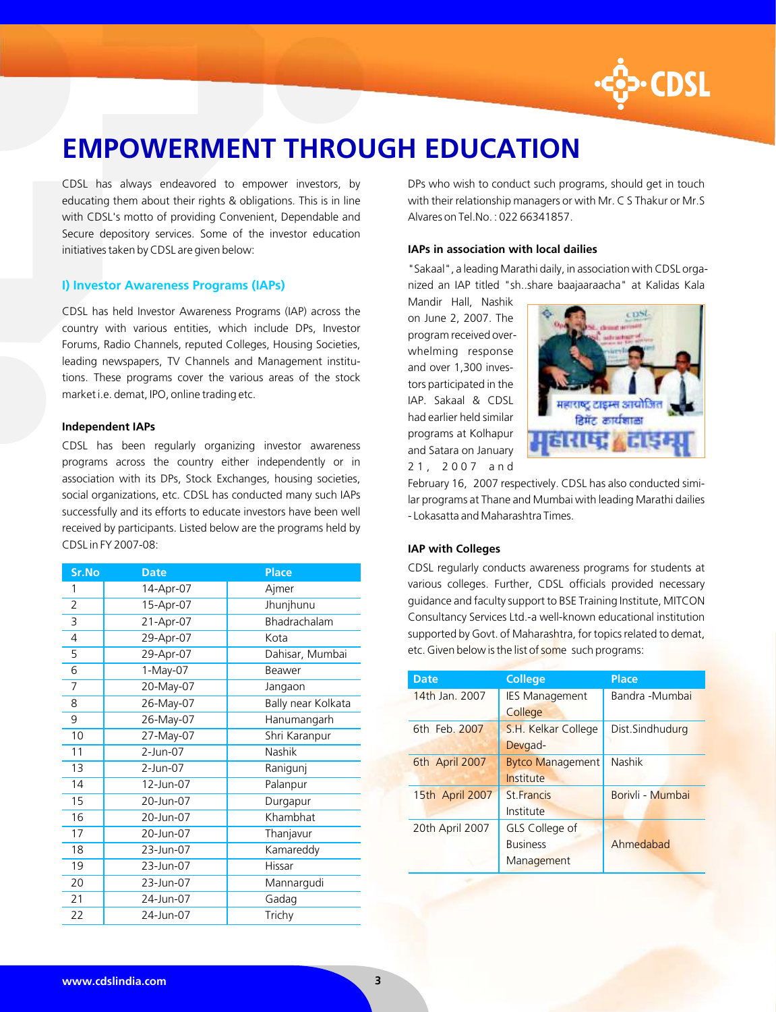

# **EMPOWERMENT THROUGH EDUCATION**

CDSL has always endeavored to empower investors, by educating them about their rights & obligations. This is in line with CDSL's motto of providing Convenient, Dependable and Secure depository services. Some of the investor education initiatives taken by CDSL are given below:

## **I) Investor Awareness Programs (IAPs)**

CDSL has held Investor Awareness Programs (IAP) across the country with various entities, which include DPs, Investor Forums, Radio Channels, reputed Colleges, Housing Societies, leading newspapers, TV Channels and Management institutions. These programs cover the various areas of the stock market i.e. demat, IPO, online trading etc.

### **Independent IAPs**

CDSL has been regularly organizing investor awareness programs across the country either independently or in association with its DPs, Stock Exchanges, housing societies, social organizations, etc. CDSL has conducted many such IAPs successfully and its efforts to educate investors have been well received by participants. Listed below are the programs held by CDSL in FY 2007-08:

| <b>Sr.No</b>   | <b>Date</b> | <b>Place</b>       |
|----------------|-------------|--------------------|
| 1              | 14-Apr-07   | Ajmer              |
| $\overline{2}$ | 15-Apr-07   | Jhunjhunu          |
| 3              | 21-Apr-07   | Bhadrachalam       |
| 4              | 29-Apr-07   | Kota               |
| 5              | 29-Apr-07   | Dahisar, Mumbai    |
| 6              | 1-May-07    | Beawer             |
| 7              | 20-May-07   | Jangaon            |
| 8              | 26-May-07   | Bally near Kolkata |
| 9              | 26-May-07   | Hanumangarh        |
| 10             | 27-May-07   | Shri Karanpur      |
| 11             | 2-Jun-07    | Nashik             |
| 13             | 2-Jun-07    | Ranigunj           |
| 14             | 12-Jun-07   | Palanpur           |
| 15             | 20-Jun-07   | Durgapur           |
| 16             | 20-Jun-07   | Khambhat           |
| 17             | 20-Jun-07   | Thanjavur          |
| 18             | 23-Jun-07   | Kamareddy          |
| 19             | 23-Jun-07   | Hissar             |
| 20             | 23-Jun-07   | Mannargudi         |
| 21             | 24-Jun-07   | Gadag              |
| 22             | 24-Jun-07   | Trichy             |

DPs who wish to conduct such programs, should get in touch with their relationship managers or with Mr. C S Thakur or Mr.S Alvares on Tel.No. : 022 66341857.

## **IAPs in association with local dailies**

"Sakaal", a leading Marathi daily, in association with CDSL organized an IAP titled "sh..share baajaaraacha" at Kalidas Kala

Mandir Hall, Nashik on June 2, 2007. The program received overwhelming response and over 1,300 investors participated in the IAP. Sakaal & CDSL had earlier held similar programs at Kolhapur and Satara on January 2 1 , 2 0 0 7 a n d



February 16, 2007 respectively. CDSL has also conducted similar programs at Thane and Mumbai with leading Marathi dailies - Lokasatta and Maharashtra Times.

## **IAP with Colleges**

CDSL regularly conducts awareness programs for students at various colleges. Further, CDSL officials provided necessary guidance and faculty support to BSE Training Institute, MITCON Consultancy Services Ltd.-a well-known educational institution supported by Govt. of Maharashtra, for topics related to demat, etc. Given below is the list of some such programs:

| <b>Date</b>     | <b>College</b>          | <b>Place</b>     |
|-----------------|-------------------------|------------------|
| 14th Jan. 2007  | <b>IES Management</b>   | Bandra -Mumbai   |
|                 | College                 |                  |
| 6th Feb. 2007   | S.H. Kelkar College     | Dist.Sindhudurg  |
|                 | Devgad-                 |                  |
| 6th April 2007  | <b>Bytco Management</b> | Nashik           |
|                 | Institute               |                  |
| 15th April 2007 | <b>St Francis</b>       | Borivli - Mumbai |
|                 | Institute               |                  |
| 20th April 2007 | GLS College of          |                  |
|                 | <b>Business</b>         | Ahmedahad        |
|                 | Management              |                  |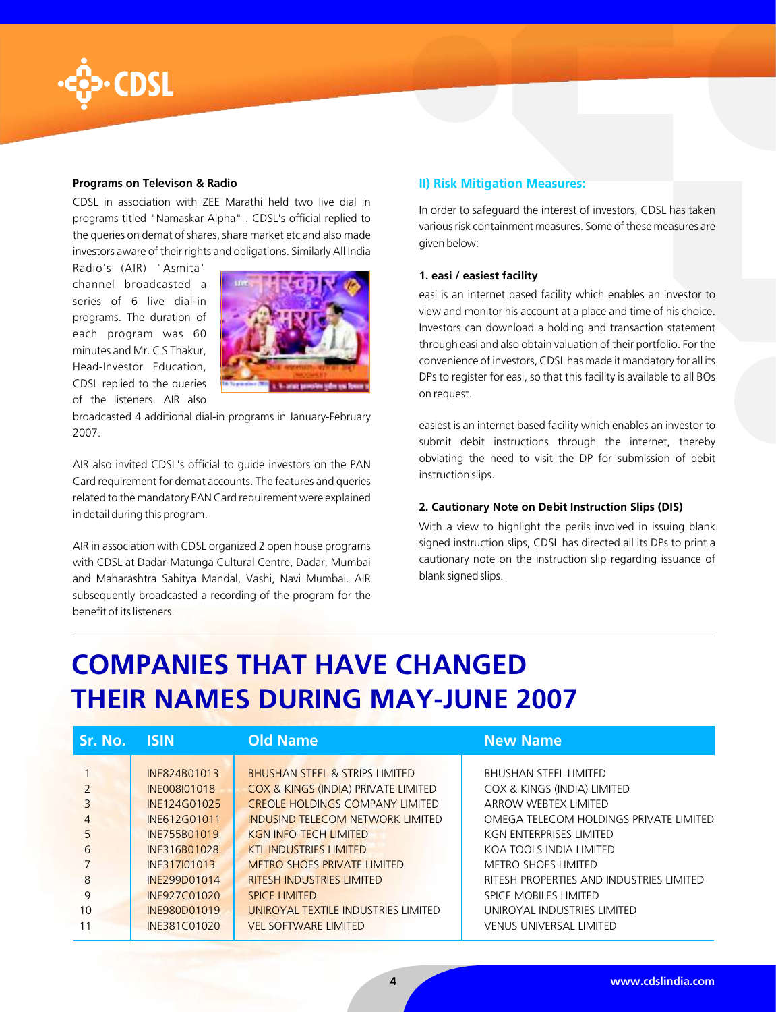

# **Programs on Televison & Radio**

CDSL in association with ZEE Marathi held two live dial in programs titled "Namaskar Alpha" . CDSL's official replied to the queries on demat of shares, share market etc and also made investors aware of their rights and obligations. Similarly All India

Radio's (AIR) "Asmita" channel broadcasted a series of 6 live dial-in programs. The duration of each program was 60 minutes and Mr. C S Thakur, Head-Investor Education, CDSL replied to the queries of the listeners. AIR also



broadcasted 4 additional dial-in programs in January-February 2007.

AIR also invited CDSL's official to guide investors on the PAN Card requirement for demat accounts. The features and queries related to the mandatory PAN Card requirement were explained in detail during this program.

AIR in association with CDSL organized 2 open house programs with CDSL at Dadar-Matunga Cultural Centre, Dadar, Mumbai and Maharashtra Sahitya Mandal, Vashi, Navi Mumbai. AIR subsequently broadcasted a recording of the program for the benefit of its listeners.

## **II) Risk Mitigation Measures:**

In order to safeguard the interest of investors, CDSL has taken various risk containment measures. Some of these measures are given below:

### **1. easi / easiest facility**

easi is an internet based facility which enables an investor to view and monitor his account at a place and time of his choice. Investors can download a holding and transaction statement through easi and also obtain valuation of their portfolio. For the convenience of investors, CDSL has made it mandatory for all its DPs to register for easi, so that this facility is available to all BOs on request.

easiest is an internet based facility which enables an investor to submit debit instructions through the internet, thereby obviating the need to visit the DP for submission of debit instruction slips.

#### **2. Cautionary Note on Debit Instruction Slips (DIS)**

With a view to highlight the perils involved in issuing blank signed instruction slips, CDSL has directed all its DPs to print a cautionary note on the instruction slip regarding issuance of blank signed slips.

# **COMPANIES THAT HAVE CHANGED THEIR NAMES DURING MAY-JUNE 2007**

| Sr. No. | <b>SIN</b>   | <b>Old Name</b>                           | <b>New Name</b>                          |
|---------|--------------|-------------------------------------------|------------------------------------------|
|         |              |                                           |                                          |
|         | INE824B01013 | <b>BHUSHAN STEEL &amp; STRIPS LIMITED</b> | <b>BHUSHAN STEEL LIMITED</b>             |
|         | INE008I01018 | COX & KINGS (INDIA) PRIVATE LIMITED       | COX & KINGS (INDIA) LIMITED              |
| 3       | INE124G01025 | <b>CREOLE HOLDINGS COMPANY LIMITED</b>    | ARROW WEBTEX LIMITED                     |
|         | INE612G01011 | INDUSIND TELECOM NETWORK LIMITED          | OMEGA TELECOM HOLDINGS PRIVATE LIMITED   |
| 5       | INE755B01019 | <b>KGN INFO-TECH LIMITED</b>              | KGN ENTERPRISES LIMITED                  |
| 6       | INE316B01028 | <b>KTL INDUSTRIES LIMITED</b>             | KOA TOOLS INDIA LIMITED                  |
|         | INE317I01013 | <b>METRO SHOES PRIVATE LIMITED</b>        | <b>METRO SHOES LIMITED</b>               |
| 8       | INE299D01014 | <b>RITESH INDUSTRIES LIMITED</b>          | RITESH PROPERTIES AND INDUSTRIES LIMITED |
| 9       | INE927C01020 | <b>SPICE LIMITED</b>                      | SPICE MOBILES LIMITED                    |
| 10      | INE980D01019 | UNIROYAL TEXTILE INDUSTRIES LIMITED       | UNIROYAL INDUSTRIES LIMITED              |
| 11      | INE381C01020 | <b>VEL SOFTWARE LIMITED</b>               | <b>VENUS UNIVERSAL LIMITED</b>           |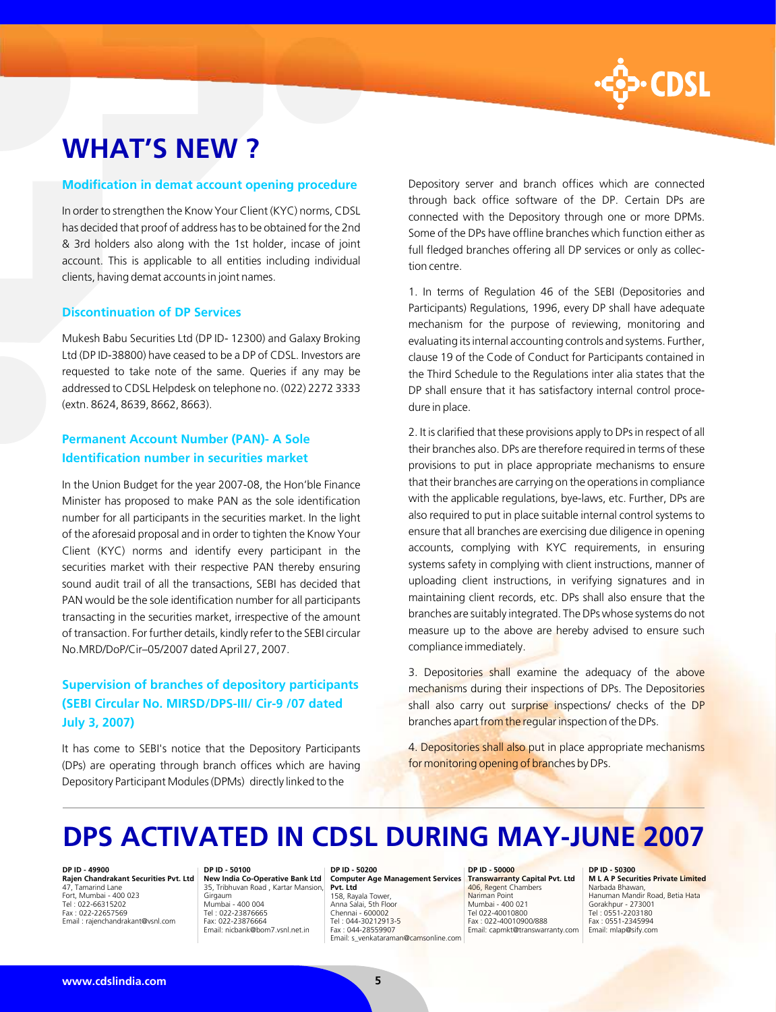

# **WHAT'S NEW ?**

#### **Modification in demat account opening procedure**

In order to strengthen the Know Your Client (KYC) norms, CDSL has decided that proof of address has to be obtained for the 2nd & 3rd holders also along with the 1st holder, incase of joint account. This is applicable to all entities including individual clients, having demat accounts in joint names.

## **Discontinuation of DP Services**

Mukesh Babu Securities Ltd (DP ID- 12300) and Galaxy Broking Ltd (DP ID-38800) have ceased to be a DP of CDSL. Investors are requested to take note of the same. Queries if any may be addressed to CDSL Helpdesk on telephone no. (022) 2272 3333 (extn. 8624, 8639, 8662, 8663).

# **Permanent Account Number (PAN)- A Sole Identification number in securities market**

In the Union Budget for the year 2007-08, the Hon'ble Finance Minister has proposed to make PAN as the sole identification number for all participants in the securities market. In the light of the aforesaid proposal and in order to tighten the Know Your Client (KYC) norms and identify every participant in the securities market with their respective PAN thereby ensuring sound audit trail of all the transactions, SEBI has decided that PAN would be the sole identification number for all participants transacting in the securities market, irrespective of the amount of transaction. For further details, kindly refer to the SEBI circular No.MRD/DoP/Cir–05/2007 dated April 27, 2007.

# **Supervision of branches of depository participants (SEBI Circular No. MIRSD/DPS-III/ Cir-9 /07 dated July 3, 2007)**

It has come to SEBI's notice that the Depository Participants (DPs) are operating through branch offices which are having Depository Participant Modules (DPMs) directly linked to the

Depository server and branch offices which are connected through back office software of the DP. Certain DPs are connected with the Depository through one or more DPMs. Some of the DPs have offline branches which function either as full fledged branches offering all DP services or only as collection centre.

1. In terms of Regulation 46 of the SEBI (Depositories and Participants) Regulations, 1996, every DP shall have adequate mechanism for the purpose of reviewing, monitoring and evaluating its internal accounting controls and systems. Further, clause 19 of the Code of Conduct for Participants contained in the Third Schedule to the Regulations inter alia states that the DP shall ensure that it has satisfactory internal control procedure in place.

2. It is clarified that these provisions apply to DPs in respect of all their branches also. DPs are therefore required in terms of these provisions to put in place appropriate mechanisms to ensure that their branches are carrying on the operations in compliance with the applicable regulations, bye-laws, etc. Further, DPs are also required to put in place suitable internal control systems to ensure that all branches are exercising due diligence in opening accounts, complying with KYC requirements, in ensuring systems safety in complying with client instructions, manner of uploading client instructions, in verifying signatures and in maintaining client records, etc. DPs shall also ensure that the branches are suitably integrated. The DPs whose systems do not measure up to the above are hereby advised to ensure such compliance immediately.

3. Depositories shall examine the adequacy of the above mechanisms during their inspections of DPs. The Depositories shall also carry out surprise inspections/ checks of the DP branches apart from the regular inspection of the DPs.

4. Depositories shall also put in place appropriate mechanisms for monitoring opening of branches by DPs.

# **DPS ACTIVATED IN CDSL DURING MAY-JUNE 2007**

#### **DP ID - 49900**

**Rajen Chandrakant Securities Pvt. Ltd** 47, Tamarind Lane Fort, Mumbai - 400 023 Tel : 022-66315202 Fax : 022-22657569 Email : rajenchandrakant@vsnl.com

#### **DP ID - 50100**

**New India Co-Operative Bank Ltd** 35, Tribhuvan Road , Kartar Mansion, Girgaum Mumbai - 400 004 Tel : 022-23876665 Fax: 022-23876664 Email: nicbank@bom7.vsnl.net.in

## **DP ID - 50200 Computer Age Management Services Pvt. Ltd**

158, Rayala Tower, Anna Salai, 5th Floor Chennai - 600002 Tel : 044-30212913-5 Fax : 044-28559907 Email: s\_venkataraman@camsonline.com

#### **DP ID - 50000 Transwarranty Capital Pvt. Ltd** 406, Regent Chambers Nariman Point Mumbai - 400 021 Tel 022-40010800 Fax : 022-40010900/888 Email: capmkt@transwarranty.com

**DP ID - 50300 M L A P Securities Private Limited**

Narbada Bhawan, Hanuman Mandir Road, Betia Hata Gorakhpur - 273001 Tel : 0551-2203180 Fax : 0551-2345994 Email: mlap@sify.com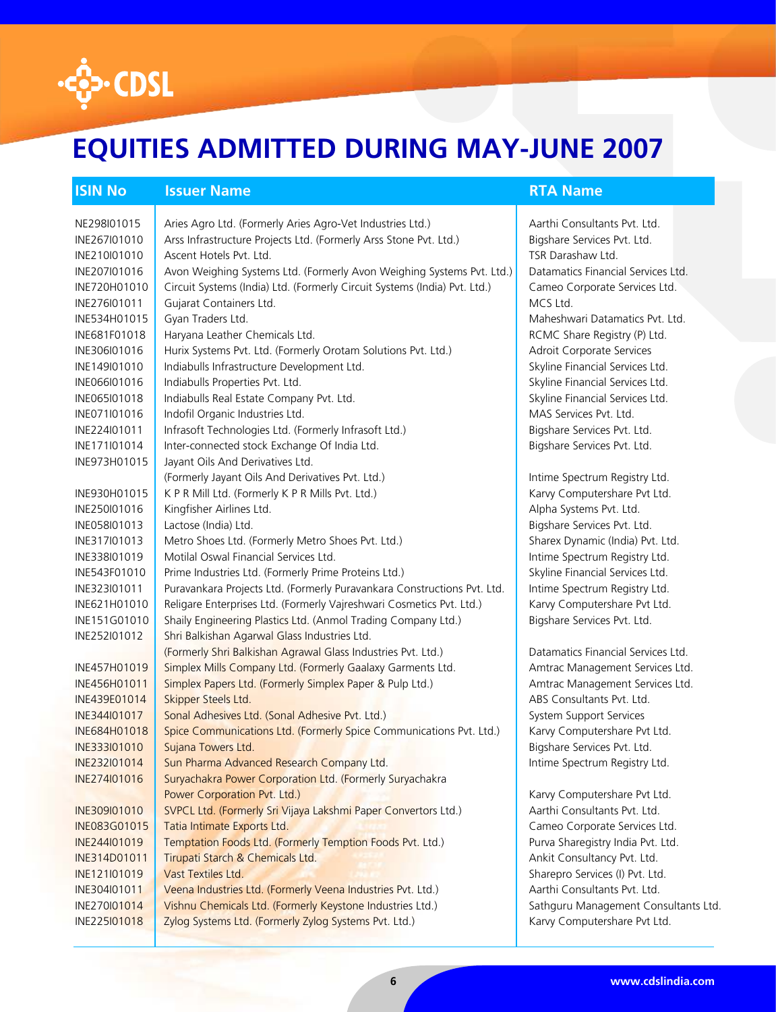

# **EQUITIES ADMITTED DURING MAY-JUNE 2007**

# **ISIN No <b>ISSUER Name** RTA Name RTA Name RTA Name RTA Name RTA Name RTA Name RTA Name RTA Name RTA Name RTA Name RTA Name RTA Name RTA Name RTA Name RTA Name RTA Name RTA Name RTA Name RTA Name RTA Name RTA Name RTA Name R

NE298I01015 Aries Agro Ltd. (Formerly Aries Agro-Vet Industries Ltd.) Aarthi Consultants Pvt. Ltd. INE267I01010 Arss Infrastructure Projects Ltd. (Formerly Arss Stone Pvt. Ltd.) Bigshare Services Pvt. Ltd. INE210I01010 Ascent Hotels Pvt. Ltd. TSR Darashaw Ltd. INE207I01016 Avon Weighing Systems Ltd. (Formerly Avon Weighing Systems Pvt. Ltd.) Datamatics Financial Services Ltd. INE720H01010 Circuit Systems (India) Ltd. (Formerly Circuit Systems (India) Pvt. Ltd.) Cameo Corporate Services Ltd. INE276I01011 Gujarat Containers Ltd. MCS Ltd. MCS Ltd. INE534H01015 Gyan Traders Ltd. Maheshwari Datamatics Pvt. Ltd. INE681F01018 | Haryana Leather Chemicals Ltd. REMIC Share Registry (P) Ltd. INE306I01016 Hurix Systems Pvt. Ltd. (Formerly Orotam Solutions Pvt. Ltd.) Adroit Corporate Services INE149I01010 | Indiabulls Infrastructure Development Ltd. Skyline Financial Services Ltd. INE066I01016 | Indiabulls Properties Pvt. Ltd. Skyline Financial Services Ltd. Skyline Financial Services Ltd. INE065I01018 | Indiabulls Real Estate Company Pvt. Ltd. Skyline Financial Services Ltd. INE071I01016 | Indofil Organic Industries Ltd. MAS Services Pvt. Ltd. INE224I01011 Infrasoft Technologies Ltd. (Formerly Infrasoft Ltd.) Bigshare Services Pvt. Ltd. INE171I01014 Inter-connected stock Exchange Of India Ltd. Bigshare Services Pvt. Ltd. INE973H01015 Jayant Oils And Derivatives Ltd. (Formerly Jayant Oils And Derivatives Pvt. Ltd.) **Intime Spectrum Registry Ltd.** INE930H01015 K P R Mill Ltd. (Formerly K P R Mills Pvt. Ltd.) Karvy Computershare Pvt Ltd. INE250I01016 Kingfisher Airlines Ltd. Alpha Systems Pvt. Ltd. INE058I01013 Lactose (India) Ltd. Bigshare Services Pvt. Ltd. INE317I01013 Metro Shoes Ltd. (Formerly Metro Shoes Pvt. Ltd.) Sharex Dynamic (India) Pvt. Ltd. INE338I01019 Motilal Oswal Financial Services Ltd. Intime Spectrum Registry Ltd. INE543F01010 Prime Industries Ltd. (Formerly Prime Proteins Ltd.) Skyline Financial Services Ltd. INE323I01011 Puravankara Projects Ltd. (Formerly Puravankara Constructions Pvt. Ltd. Intime Spectrum Registry Ltd. INE621H01010 Religare Enterprises Ltd. (Formerly Vajreshwari Cosmetics Pvt. Ltd.) Karvy Computershare Pvt Ltd. INE151G01010 Shaily Engineering Plastics Ltd. (Anmol Trading Company Ltd.) Bigshare Services Pvt. Ltd. INE252I01012 Shri Balkishan Agarwal Glass Industries Ltd. (Formerly Shri Balkishan Agrawal Glass Industries Pvt. Ltd.) Datamatics Financial Services Ltd. INE457H01019 Simplex Mills Company Ltd. (Formerly Gaalaxy Garments Ltd. Amtrac Management Services Ltd. INE456H01011 Simplex Papers Ltd. (Formerly Simplex Paper & Pulp Ltd.) Amtrac Management Services Ltd. INE439E01014 Skipper Steels Ltd. ABS Consultants Pvt. Ltd. INE344I01017 Sonal Adhesives Ltd. (Sonal Adhesive Pvt. Ltd.) System Support Services INE684H01018 Spice Communications Ltd. (Formerly Spice Communications Pvt. Ltd.) Karvy Computershare Pvt Ltd. INE333I01010 Sujana Towers Ltd. Bigshare Services Pvt. Ltd. INE232I01014 Sun Pharma Advanced Research Company Ltd. Intime Spectrum Registry Ltd. INE274I01016 | Suryachakra Power Corporation Ltd. (Formerly Suryachakra Power Corporation Pvt. Ltd.) **Example 20 and 20 and 20 and 20 and 20 and 20 and 20 and 20 and 20 and 20 and 20 and 20 and 20 and 20 and 20 and 20 and 20 and 20 and 20 and 20 and 20 and 20 and 20 and 20 and 20 and 20 and 20** INE309I01010 SVPCL Ltd. (Formerly Sri Vijaya Lakshmi Paper Convertors Ltd.) Aarthi Consultants Pvt. Ltd. INE083G01015 Tatia Intimate Exports Ltd. Cameo Corporate Services Ltd. INE244I01019 Temptation Foods Ltd. (Formerly Temption Foods Pvt. Ltd.) Purva Sharegistry India Pvt. Ltd. INE314D01011 Tirupati Starch & Chemicals Ltd. Ankit Consultancy Pvt. Ltd. INE121I01019 Vast Textiles Ltd. Sharepro Services (I) Pvt. Ltd. INE304I01011 Veena Industries Ltd. (Formerly Veena Industries Pvt. Ltd.) Aarthi Consultants Pvt. Ltd. INE270I01014 Vishnu Chemicals Ltd. (Formerly Keystone Industries Ltd.) Sathguru Management Consultants Ltd.

# INE225I01018 Zylog Systems Ltd. (Formerly Zylog Systems Pvt. Ltd.) Karvy Computershare Pvt Ltd.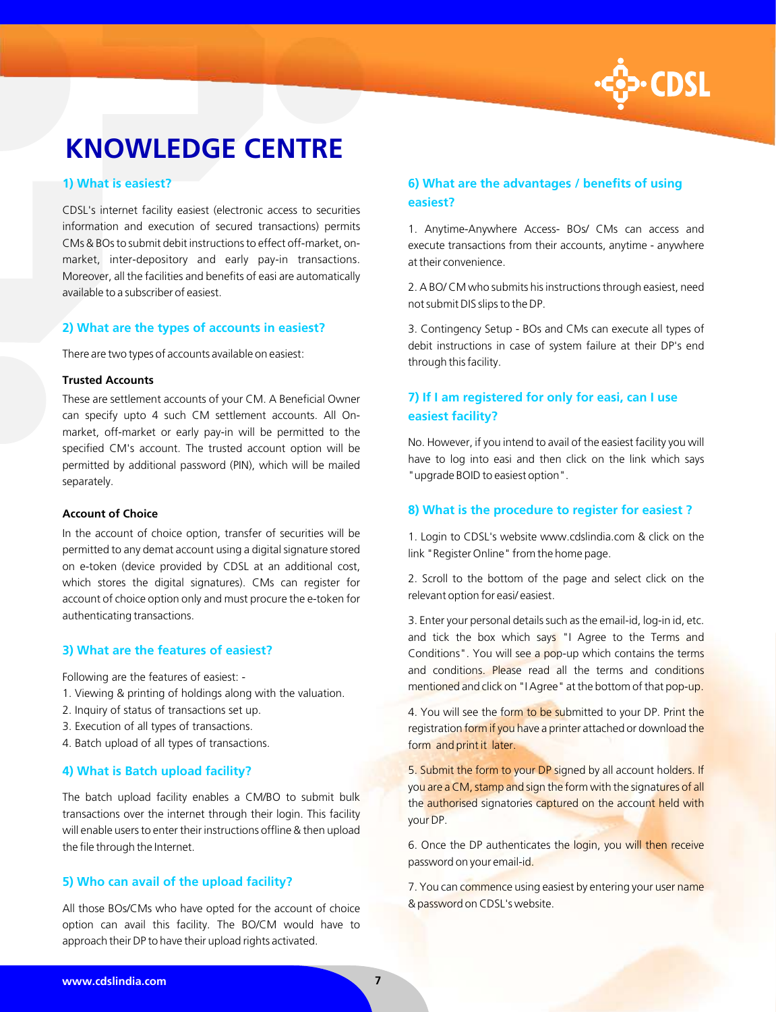

# **KNOWLEDGE CENTRE**

## **1) What is easiest?**

CDSL's internet facility easiest (electronic access to securities information and execution of secured transactions) permits CMs & BOs to submit debit instructions to effect off-market, onmarket, inter-depository and early pay-in transactions. Moreover, all the facilities and benefits of easi are automatically available to a subscriber of easiest.

# **2) What are the types of accounts in easiest?**

There are two types of accounts available on easiest:

#### **Trusted Accounts**

These are settlement accounts of your CM. A Beneficial Owner can specify upto 4 such CM settlement accounts. All Onmarket, off-market or early pay-in will be permitted to the specified CM's account. The trusted account option will be permitted by additional password (PIN), which will be mailed separately.

## **Account of Choice**

In the account of choice option, transfer of securities will be permitted to any demat account using a digital signature stored on e-token (device provided by CDSL at an additional cost, which stores the digital signatures). CMs can register for account of choice option only and must procure the e-token for authenticating transactions.

## **3) What are the features of easiest?**

Following are the features of easiest: -

- 1. Viewing & printing of holdings along with the valuation.
- 2. Inquiry of status of transactions set up.
- 3. Execution of all types of transactions.
- 4. Batch upload of all types of transactions.

## **4) What is Batch upload facility?**

The batch upload facility enables a CM/BO to submit bulk transactions over the internet through their login. This facility will enable users to enter their instructions offline & then upload the file through the Internet.

# **5) Who can avail of the upload facility?**

All those BOs/CMs who have opted for the account of choice option can avail this facility. The BO/CM would have to approach their DP to have their upload rights activated.

# **6) What are the advantages / benefits of using easiest?**

1. Anytime-Anywhere Access- BOs/ CMs can access and execute transactions from their accounts, anytime - anywhere at their convenience.

2. A BO/ CM who submits his instructions through easiest, need not submit DIS slips to the DP.

3. Contingency Setup - BOs and CMs can execute all types of debit instructions in case of system failure at their DP's end through this facility.

# **7) If I am registered for only for easi, can I use easiest facility?**

No. However, if you intend to avail of the easiest facility you will have to log into easi and then click on the link which says "upgrade BOID to easiest option".

# **8) What is the procedure to register for easiest ?**

1. Login to CDSL's website www.cdslindia.com & click on the link "Register Online" from the home page.

2. Scroll to the bottom of the page and select click on the relevant option for easi/ easiest.

3. Enter your personal details such as the email-id, log-in id, etc. and tick the box which says "I Agree to the Terms and Conditions". You will see a pop-up which contains the terms and conditions. Please read all the terms and conditions mentioned and click on "I Agree" at the bottom of that pop-up.

4. You will see the form to be submitted to your DP. Print the registration form if you have a printer attached or download the form and print it later.

5. Submit the form to your DP signed by all account holders. If you are a CM, stamp and sign the form with the signatures of all the authorised signatories captured on the account held with your DP.

6. Once the DP authenticates the login, you will then receive password on your email-id.

7. You can commence using easiest by entering your user name & password on CDSL's website.